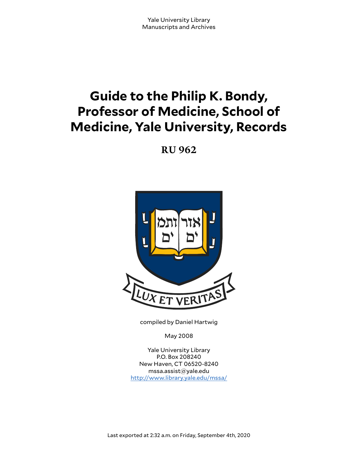# **Guide to the Philip K. Bondy, Professor of Medicine, School of Medicine, Yale University, Records**

**RU 962**



compiled by Daniel Hartwig

May 2008

Yale University Library P.O. Box 208240 New Haven, CT 06520-8240 mssa.assist@yale.edu <http://www.library.yale.edu/mssa/>

Last exported at 2:32 a.m. on Friday, September 4th, 2020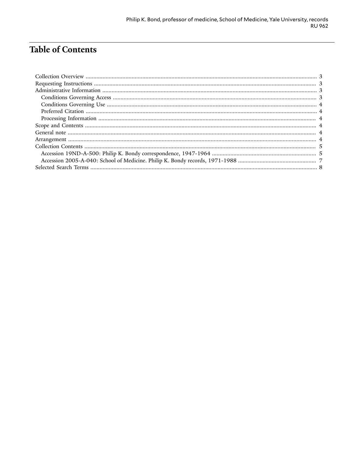# **Table of Contents**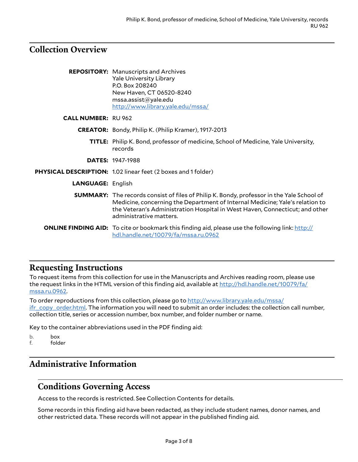## <span id="page-2-0"></span>**Collection Overview**

|                            | <b>REPOSITORY:</b> Manuscripts and Archives                                                                                                                                                                                                                                                |
|----------------------------|--------------------------------------------------------------------------------------------------------------------------------------------------------------------------------------------------------------------------------------------------------------------------------------------|
|                            | <b>Yale University Library</b>                                                                                                                                                                                                                                                             |
|                            | P.O. Box 208240                                                                                                                                                                                                                                                                            |
|                            | New Haven, CT 06520-8240                                                                                                                                                                                                                                                                   |
|                            | mssa.assist@yale.edu                                                                                                                                                                                                                                                                       |
|                            | http://www.library.yale.edu/mssa/                                                                                                                                                                                                                                                          |
| <b>CALL NUMBER: RU 962</b> |                                                                                                                                                                                                                                                                                            |
|                            | <b>CREATOR:</b> Bondy, Philip K. (Philip Kramer), 1917-2013                                                                                                                                                                                                                                |
|                            | <b>TITLE:</b> Philip K. Bond, professor of medicine, School of Medicine, Yale University,<br>records                                                                                                                                                                                       |
|                            | <b>DATES: 1947-1988</b>                                                                                                                                                                                                                                                                    |
|                            | PHYSICAL DESCRIPTION: 1.02 linear feet (2 boxes and 1 folder)                                                                                                                                                                                                                              |
| <b>LANGUAGE: English</b>   |                                                                                                                                                                                                                                                                                            |
|                            | <b>SUMMARY:</b> The records consist of files of Philip K. Bondy, professor in the Yale School of<br>Medicine, concerning the Department of Internal Medicine; Yale's relation to<br>the Veteran's Administration Hospital in West Haven, Connecticut; and other<br>administrative matters. |
|                            | <b>ONLINE FINDING AID:</b> To cite or bookmark this finding aid, please use the following link: http://<br>hdl.handle.net/10079/fa/mssa.ru.0962                                                                                                                                            |

## <span id="page-2-1"></span>**Requesting Instructions**

To request items from this collection for use in the Manuscripts and Archives reading room, please use the request links in the HTML version of this finding aid, available at [http://hdl.handle.net/10079/fa/](http://hdl.handle.net/10079/fa/mssa.ru.0962) [mssa.ru.0962.](http://hdl.handle.net/10079/fa/mssa.ru.0962)

To order reproductions from this collection, please go to [http://www.library.yale.edu/mssa/](http://www.library.yale.edu/mssa/ifr_copy_order.html) [ifr\\_copy\\_order.html.](http://www.library.yale.edu/mssa/ifr_copy_order.html) The information you will need to submit an order includes: the collection call number, collection title, series or accession number, box number, and folder number or name.

Key to the container abbreviations used in the PDF finding aid:

- b. box<br>f. fold
- folder

## <span id="page-2-2"></span>**Administrative Information**

#### <span id="page-2-3"></span>**Conditions Governing Access**

Access to the records is restricted. See Collection Contents for details.

Some records in this finding aid have been redacted, as they include student names, donor names, and other restricted data. These records will not appear in the published finding aid.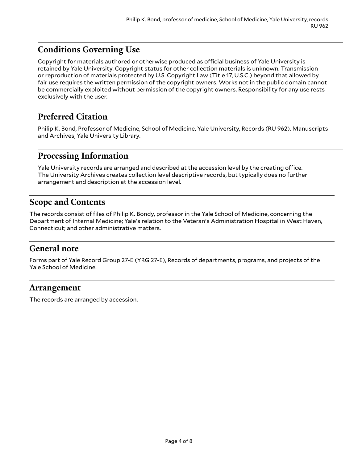## <span id="page-3-0"></span>**Conditions Governing Use**

Copyright for materials authored or otherwise produced as official business of Yale University is retained by Yale University. Copyright status for other collection materials is unknown. Transmission or reproduction of materials protected by U.S. Copyright Law (Title 17, U.S.C.) beyond that allowed by fair use requires the written permission of the copyright owners. Works not in the public domain cannot be commercially exploited without permission of the copyright owners. Responsibility for any use rests exclusively with the user.

### <span id="page-3-1"></span>**Preferred Citation**

Philip K. Bond, Professor of Medicine, School of Medicine, Yale University, Records (RU 962). Manuscripts and Archives, Yale University Library.

#### <span id="page-3-2"></span>**Processing Information**

Yale University records are arranged and described at the accession level by the creating office. The University Archives creates collection level descriptive records, but typically does no further arrangement and description at the accession level.

#### <span id="page-3-3"></span>**Scope and Contents**

The records consist of files of Philip K. Bondy, professor in the Yale School of Medicine, concerning the Department of Internal Medicine; Yale's relation to the Veteran's Administration Hospital in West Haven, Connecticut; and other administrative matters.

#### <span id="page-3-4"></span>**General note**

Forms part of Yale Record Group 27-E (YRG 27-E), Records of departments, programs, and projects of the Yale School of Medicine.

#### <span id="page-3-5"></span>**Arrangement**

The records are arranged by accession.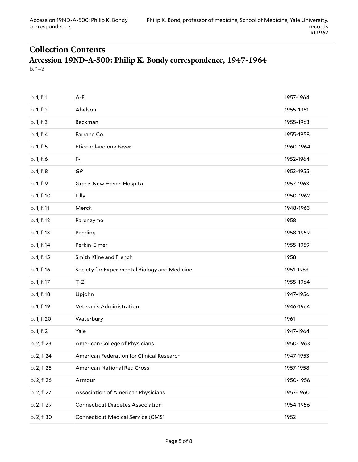#### <span id="page-4-1"></span><span id="page-4-0"></span>**Collection Contents Accession 19ND-A-500: Philip K. Bondy correspondence, 1947-1964** b. 1–2

| b. 1, f. 1  | $A - E$                                       | 1957-1964 |
|-------------|-----------------------------------------------|-----------|
| b. 1, f. 2  | Abelson                                       | 1955-1961 |
| b. 1, f. 3  | Beckman                                       | 1955-1963 |
| b. 1, f. 4  | Farrand Co.                                   | 1955-1958 |
| b. 1, f. 5  | Etiocholanolone Fever                         | 1960-1964 |
| b. 1, f. 6  | F-I                                           | 1952-1964 |
| b. 1, f. 8  | GP                                            | 1953-1955 |
| b. 1, f. 9  | Grace-New Haven Hospital                      | 1957-1963 |
| b. 1, f. 10 | Lilly                                         | 1950-1962 |
| b. 1, f. 11 | Merck                                         | 1948-1963 |
| b. 1, f. 12 | Parenzyme                                     | 1958      |
| b. 1, f. 13 | Pending                                       | 1958-1959 |
| b. 1, f. 14 | Perkin-Elmer                                  | 1955-1959 |
| b. 1, f. 15 | Smith Kline and French                        | 1958      |
| b. 1, f. 16 | Society for Experimental Biology and Medicine | 1951-1963 |
| b. 1, f. 17 | $T-Z$                                         | 1955-1964 |
| b. 1, f. 18 | Upjohn                                        | 1947-1956 |
| b. 1, f. 19 | Veteran's Administration                      | 1946-1964 |
| b. 1, f. 20 | Waterbury                                     | 1961      |
| b. 1, f. 21 | Yale                                          | 1947-1964 |
| b. 2, f. 23 | American College of Physicians                | 1950-1963 |
| b. 2, f. 24 |                                               |           |
|             | American Federation for Clinical Research     | 1947-1953 |
| b. 2, f. 25 | <b>American National Red Cross</b>            | 1957-1958 |
| b. 2, f. 26 | Armour                                        | 1950-1956 |
| b. 2, f. 27 | Association of American Physicians            | 1957-1960 |
| b. 2, f. 29 | <b>Connecticut Diabetes Association</b>       | 1954-1956 |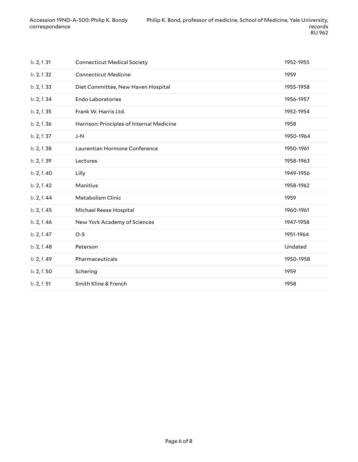| b. 2, f. 31 | <b>Connecticut Medical Society</b>        | 1952-1955 |
|-------------|-------------------------------------------|-----------|
| b. 2, f. 32 | <b>Connecticut Medicine</b>               | 1959      |
| b. 2, f. 33 | Diet Committee, New Haven Hospital        | 1955-1958 |
| b. 2, f. 34 | <b>Endo Laboratories</b>                  | 1956-1957 |
| b. 2, f. 35 | Frank W. Harris Ltd.                      | 1952-1954 |
| b. 2, f. 36 | Harrison: Principles of Internal Medicine | 1958      |
| b. 2, f. 37 | $J-N$                                     | 1950-1964 |
| b. 2, f. 38 | Laurentian Hormone Conference             | 1950-1961 |
| b. 2, f. 39 | Lectures                                  | 1958-1963 |
| b. 2, f. 40 | Lilly                                     | 1949-1956 |
| b. 2, f. 42 | Manitius                                  | 1958-1962 |
| b. 2, f. 44 | Metabolism Clinic                         | 1959      |
| b. 2, f. 45 | Michael Reese Hospital                    | 1960-1961 |
| b. 2, f. 46 | New York Academy of Sciences              | 1947-1958 |
| b. 2, f. 47 | $O-S$                                     | 1951-1964 |
| b. 2, f. 48 | Peterson                                  | Undated   |
| b. 2, f. 49 | Pharmaceuticals                           | 1950-1958 |
| b. 2, f. 50 | Schering                                  | 1959      |
| b. 2, f. 51 | Smith Kline & French                      | 1958      |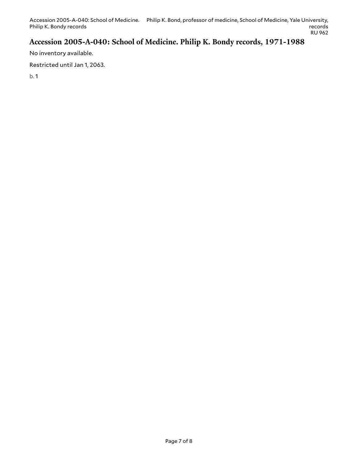## <span id="page-6-0"></span>**Accession 2005-A-040: School of Medicine. Philip K. Bondy records, 1971-1988**

No inventory available.

Restricted until Jan 1, 2063.

b. 1